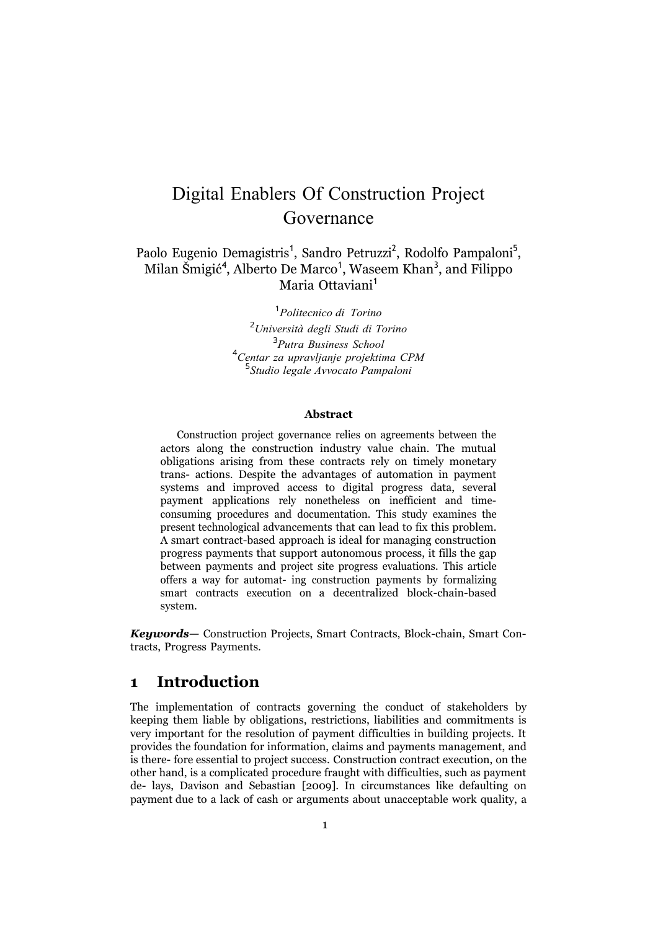# Digital Enablers Of Construction Project Governance

Paolo Eugenio Demagistris<sup>1</sup>, Sandro Petruzzi<sup>2</sup>, Rodolfo Pampaloni<sup>5</sup>, able Eugenio Benagistris , bandro Fetrazzi , Rodono Fampaioni<br>Milan Šmigić<sup>4</sup>, Alberto De Marco<sup>1</sup>, Waseem Khan<sup>3</sup>, and Filippo Maria Ottaviani<sup>1</sup>

> *Politecnico di Torino Università degli Studi di Torino Putra Business School Centar za upravljanje projektima CPM Studio legale Avvocato Pampaloni*

#### **Abstract**

Construction project governance relies on agreements between the actors along the construction industry value chain. The mutual obligations arising from these contracts rely on timely monetary trans- actions. Despite the advantages of automation in payment systems and improved access to digital progress data, several payment applications rely nonetheless on inefficient and timeconsuming procedures and documentation. This study examines the present technological advancements that can lead to fix this problem. A smart contract-based approach is ideal for managing construction progress payments that support autonomous process, it fills the gap between payments and project site progress evaluations. This article offers a way for automat- ing construction payments by formalizing smart contracts execution on a decentralized block-chain-based system.

*Keywords—* Construction Projects, Smart Contracts, Block-chain, Smart Contracts, Progress Payments.

### **1 Introduction**

The implementation of contracts governing the conduct of stakeholders by keeping them liable by obligations, restrictions, liabilities and commitments is very important for the resolution of payment difficulties in building projects. It provides the foundation for information, claims and payments management, and is there- fore essential to project success. Construction contract execution, on the other hand, is a complicated procedure fraught with difficulties, such as payment de- lays, Davison and Sebastian [2009]. In circumstances like defaulting on payment due to a lack of cash or arguments about unacceptable work quality, a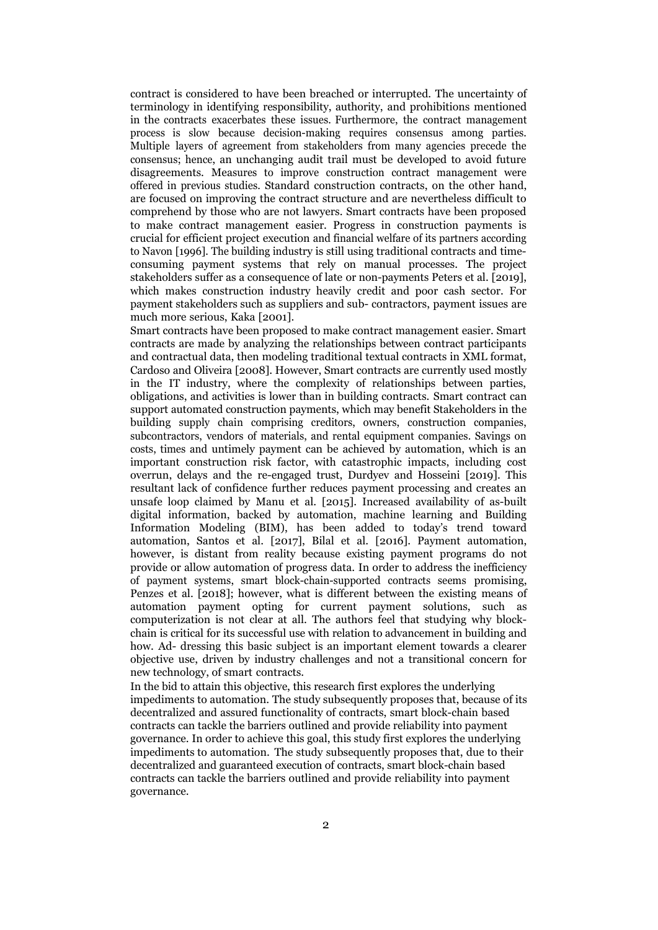contract is considered to have been breached or interrupted. The uncertainty of terminology in identifying responsibility, authority, and prohibitions mentioned in the contracts exacerbates these issues. Furthermore, the contract management process is slow because decision-making requires consensus among parties. Multiple layers of agreement from stakeholders from many agencies precede the consensus; hence, an unchanging audit trail must be developed to avoid future disagreements. Measures to improve construction contract management were offered in previous studies. Standard construction contracts, on the other hand, are focused on improving the contract structure and are nevertheless difficult to comprehend by those who are not lawyers. Smart contracts have been proposed to make contract management easier. Progress in construction payments is crucial for efficient project execution and financial welfare of its partners according to Navon [1996]. The building industry is still using traditional contracts and timeconsuming payment systems that rely on manual processes. The project stakeholders suffer as a consequence of late or non-payments Peters et al. [2019], which makes construction industry heavily credit and poor cash sector. For payment stakeholders such as suppliers and sub- contractors, payment issues are much more serious, Kaka [2001].

Smart contracts have been proposed to make contract management easier. Smart contracts are made by analyzing the relationships between contract participants and contractual data, then modeling traditional textual contracts in XML format, Cardoso and Oliveira [2008]. However, Smart contracts are currently used mostly in the IT industry, where the complexity of relationships between parties, obligations, and activities is lower than in building contracts. Smart contract can support automated construction payments, which may benefit Stakeholders in the building supply chain comprising creditors, owners, construction companies, subcontractors, vendors of materials, and rental equipment companies. Savings on costs, times and untimely payment can be achieved by automation, which is an important construction risk factor, with catastrophic impacts, including cost overrun, delays and the re-engaged trust, Durdyev and Hosseini [2019]. This resultant lack of confidence further reduces payment processing and creates an unsafe loop claimed by Manu et al. [2015]. Increased availability of as-built digital information, backed by automation, machine learning and Building Information Modeling (BIM), has been added to today's trend toward automation, Santos et al. [2017], Bilal et al. [2016]. Payment automation, however, is distant from reality because existing payment programs do not provide or allow automation of progress data. In order to address the inefficiency of payment systems, smart block-chain-supported contracts seems promising, Penzes et al. [2018]; however, what is different between the existing means of automation payment opting for current payment solutions, such as computerization is not clear at all. The authors feel that studying why blockchain is critical for its successful use with relation to advancement in building and how. Ad- dressing this basic subject is an important element towards a clearer objective use, driven by industry challenges and not a transitional concern for new technology, of smart contracts.

In the bid to attain this objective, this research first explores the underlying impediments to automation. The study subsequently proposes that, because of its decentralized and assured functionality of contracts, smart block-chain based contracts can tackle the barriers outlined and provide reliability into payment governance. In order to achieve this goal, this study first explores the underlying impediments to automation. The study subsequently proposes that, due to their decentralized and guaranteed execution of contracts, smart block-chain based contracts can tackle the barriers outlined and provide reliability into payment governance.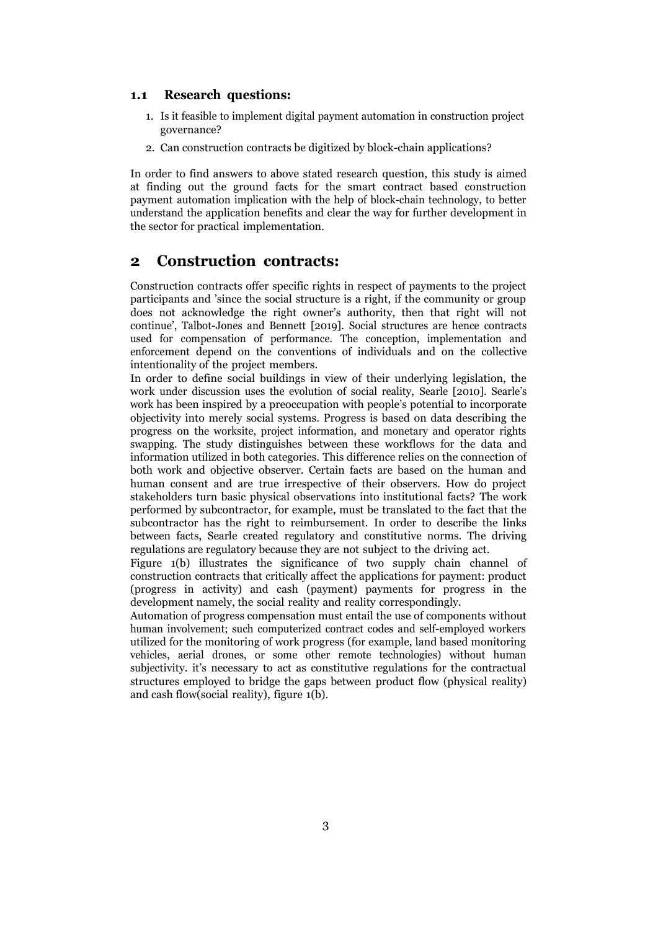#### **1.1 Research questions:**

- 1. Is it feasible to implement digital payment automation in construction project governance?
- 2. Can construction contracts be digitized by block-chain applications?

In order to find answers to above stated research question, this study is aimed at finding out the ground facts for the smart contract based construction payment automation implication with the help of block-chain technology, to better understand the application benefits and clear the way for further development in the sector for practical implementation.

#### **2 Construction contracts:**

Construction contracts offer specific rights in respect of payments to the project participants and 'since the social structure is a right, if the community or group does not acknowledge the right owner's authority, then that right will not continue', Talbot-Jones and Bennett [2019]. Social structures are hence contracts used for compensation of performance. The conception, implementation and enforcement depend on the conventions of individuals and on the collective intentionality of the project members.

In order to define social buildings in view of their underlying legislation, the work under discussion uses the evolution of social reality, Searle [2010]. Searle's work has been inspired by a preoccupation with people's potential to incorporate objectivity into merely social systems. Progress is based on data describing the progress on the worksite, project information, and monetary and operator rights swapping. The study distinguishes between these workflows for the data and information utilized in both categories. This difference relies on the connection of both work and objective observer. Certain facts are based on the human and human consent and are true irrespective of their observers. How do project stakeholders turn basic physical observations into institutional facts? The work performed by subcontractor, for example, must be translated to the fact that the subcontractor has the right to reimbursement. In order to describe the links between facts, Searle created regulatory and constitutive norms. The driving regulations are regulatory because they are not subject to the driving act.

Figure 1(b) illustrates the significance of two supply chain channel of construction contracts that critically affect the applications for payment: product (progress in activity) and cash (payment) payments for progress in the development namely, the social reality and reality correspondingly.

Automation of progress compensation must entail the use of components without human involvement; such computerized contract codes and self-employed workers utilized for the monitoring of work progress (for example, land based monitoring vehicles, aerial drones, or some other remote technologies) without human subjectivity. it's necessary to act as constitutive regulations for the contractual structures employed to bridge the gaps between product flow (physical reality) and cash flow(social reality), figure 1(b).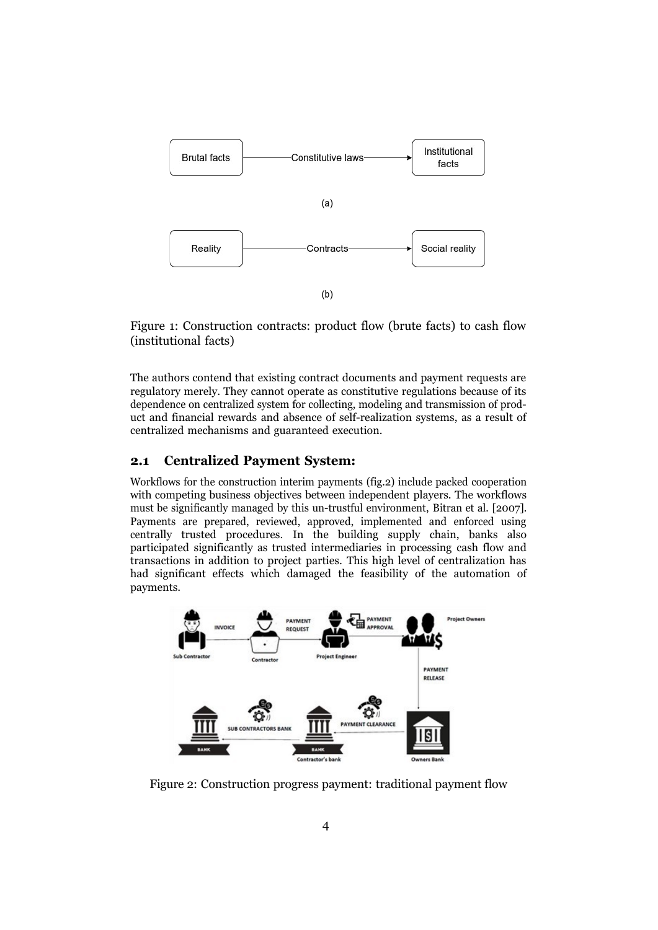

Figure 1: Construction contracts: product flow (brute facts) to cash flow (institutional facts)

The authors contend that existing contract documents and payment requests are regulatory merely. They cannot operate as constitutive regulations because of its dependence on centralized system for collecting, modeling and transmission of product and financial rewards and absence of self-realization systems, as a result of centralized mechanisms and guaranteed execution.

#### **2.1 Centralized Payment System:**

Workflows for the construction interim payments (fig.2) include packed cooperation with competing business objectives between independent players. The workflows must be significantly managed by this un-trustful environment, Bitran et al. [2007]. Payments are prepared, reviewed, approved, implemented and enforced using centrally trusted procedures. In the building supply chain, banks also participated significantly as trusted intermediaries in processing cash flow and transactions in addition to project parties. This high level of centralization has had significant effects which damaged the feasibility of the automation of payments.



Figure 2: Construction progress payment: traditional payment flow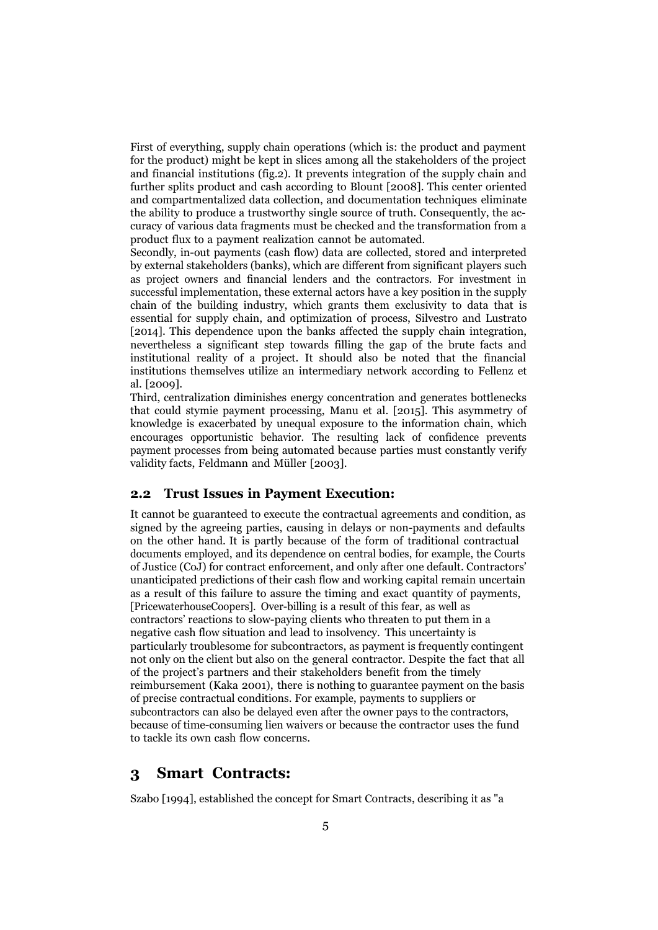First of everything, supply chain operations (which is: the product and payment for the product) might be kept in slices among all the stakeholders of the project and financial institutions (fig.2). It prevents integration of the supply chain and further splits product and cash according to Blount [2008]. This center oriented and compartmentalized data collection, and documentation techniques eliminate the ability to produce a trustworthy single source of truth. Consequently, the accuracy of various data fragments must be checked and the transformation from a product flux to a payment realization cannot be automated.

Secondly, in-out payments (cash flow) data are collected, stored and interpreted by external stakeholders (banks), which are different from significant players such as project owners and financial lenders and the contractors. For investment in successful implementation, these external actors have a key position in the supply chain of the building industry, which grants them exclusivity to data that is essential for supply chain, and optimization of process, Silvestro and Lustrato [2014]. This dependence upon the banks affected the supply chain integration, nevertheless a significant step towards filling the gap of the brute facts and institutional reality of a project. It should also be noted that the financial institutions themselves utilize an intermediary network according to Fellenz et al. [2009].

Third, centralization diminishes energy concentration and generates bottlenecks that could stymie payment processing, Manu et al. [2015]. This asymmetry of knowledge is exacerbated by unequal exposure to the information chain, which encourages opportunistic behavior. The resulting lack of confidence prevents payment processes from being automated because parties must constantly verify validity facts, Feldmann and Müller [2003].

#### **2.2 Trust Issues in Payment Execution:**

It cannot be guaranteed to execute the contractual agreements and condition, as signed by the agreeing parties, causing in delays or non-payments and defaults on the other hand. It is partly because of the form of traditional contractual documents employed, and its dependence on central bodies, for example, the Courts of Justice (CoJ) for contract enforcement, and only after one default. Contractors' unanticipated predictions of their cash flow and working capital remain uncertain as a result of this failure to assure the timing and exact quantity of payments, [PricewaterhouseCoopers]. Over-billing is a result of this fear, as well as contractors' reactions to slow-paying clients who threaten to put them in a negative cash flow situation and lead to insolvency. This uncertainty is particularly troublesome for subcontractors, as payment is frequently contingent not only on the client but also on the general contractor. Despite the fact that all of the project's partners and their stakeholders benefit from the timely reimbursement (Kaka 2001), there is nothing to guarantee payment on the basis of precise contractual conditions. For example, payments to suppliers or subcontractors can also be delayed even after the owner pays to the contractors, because of time-consuming lien waivers or because the contractor uses the fund to tackle its own cash flow concerns.

#### **3 Smart Contracts:**

Szabo [1994], established the concept for Smart Contracts, describing it as "a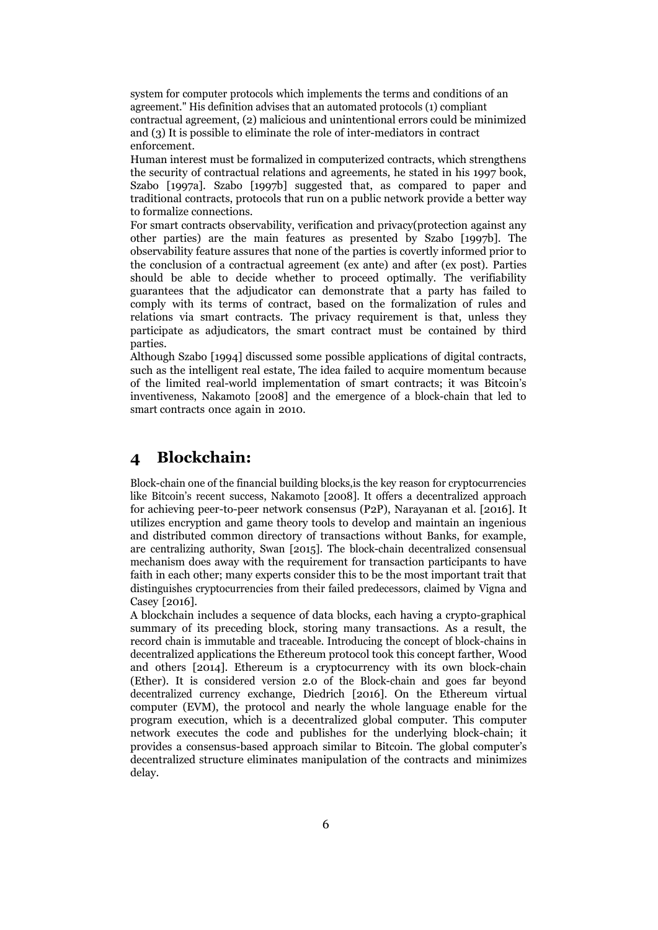system for computer protocols which implements the terms and conditions of an agreement." His definition advises that an automated protocols (1) compliant contractual agreement, (2) malicious and unintentional errors could be minimized and (3) It is possible to eliminate the role of inter-mediators in contract enforcement.

Human interest must be formalized in computerized contracts, which strengthens the security of contractual relations and agreements, he stated in his 1997 book, Szabo [1997a]. Szabo [1997b] suggested that, as compared to paper and traditional contracts, protocols that run on a public network provide a better way to formalize connections.

For smart contracts observability, verification and privacy(protection against any other parties) are the main features as presented by Szabo [1997b]. The observability feature assures that none of the parties is covertly informed prior to the conclusion of a contractual agreement (ex ante) and after (ex post). Parties should be able to decide whether to proceed optimally. The verifiability guarantees that the adjudicator can demonstrate that a party has failed to comply with its terms of contract, based on the formalization of rules and relations via smart contracts. The privacy requirement is that, unless they participate as adjudicators, the smart contract must be contained by third parties.

Although Szabo [1994] discussed some possible applications of digital contracts, such as the intelligent real estate, The idea failed to acquire momentum because of the limited real-world implementation of smart contracts; it was Bitcoin's inventiveness, Nakamoto [2008] and the emergence of a block-chain that led to smart contracts once again in 2010.

### **4 Blockchain:**

Block-chain one of the financial building blocks,is the key reason for cryptocurrencies like Bitcoin's recent success, Nakamoto [2008]. It offers a decentralized approach for achieving peer-to-peer network consensus (P2P), Narayanan et al. [2016]. It utilizes encryption and game theory tools to develop and maintain an ingenious and distributed common directory of transactions without Banks, for example, are centralizing authority, Swan [2015]. The block-chain decentralized consensual mechanism does away with the requirement for transaction participants to have faith in each other; many experts consider this to be the most important trait that distinguishes cryptocurrencies from their failed predecessors, claimed by Vigna and Casey [2016].

A blockchain includes a sequence of data blocks, each having a crypto-graphical summary of its preceding block, storing many transactions. As a result, the record chain is immutable and traceable. Introducing the concept of block-chains in decentralized applications the Ethereum protocol took this concept farther, Wood and others [2014]. Ethereum is a cryptocurrency with its own block-chain (Ether). It is considered version 2.0 of the Block-chain and goes far beyond decentralized currency exchange, Diedrich [2016]. On the Ethereum virtual computer (EVM), the protocol and nearly the whole language enable for the program execution, which is a decentralized global computer. This computer network executes the code and publishes for the underlying block-chain; it provides a consensus-based approach similar to Bitcoin. The global computer's decentralized structure eliminates manipulation of the contracts and minimizes delay.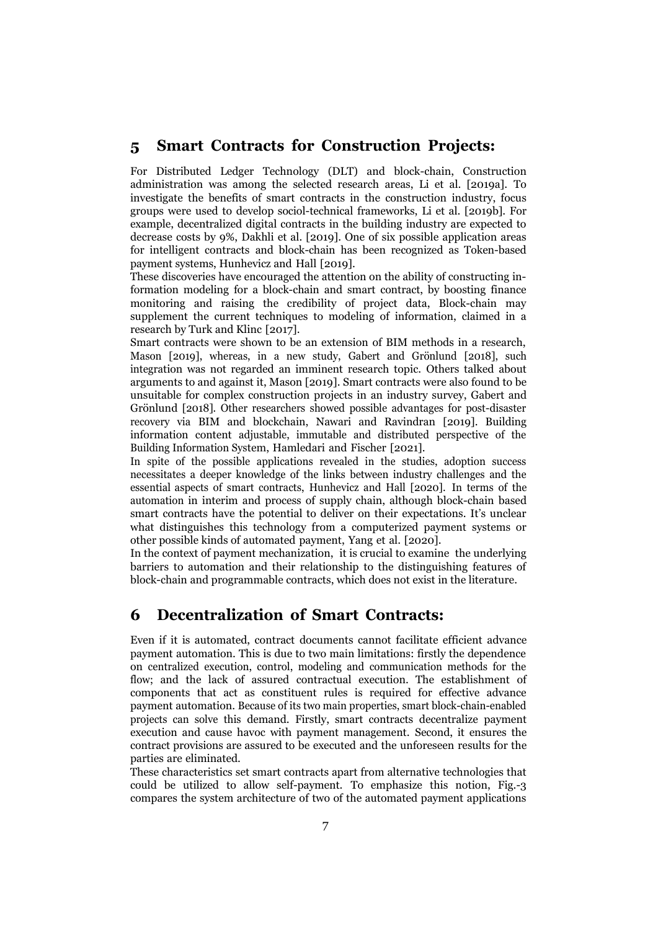#### **5 Smart Contracts for Construction Projects:**

For Distributed Ledger Technology (DLT) and block-chain, Construction administration was among the selected research areas, Li et al. [2019a]. To investigate the benefits of smart contracts in the construction industry, focus groups were used to develop sociol-technical frameworks, Li et al. [2019b]. For example, decentralized digital contracts in the building industry are expected to decrease costs by 9%, Dakhli et al. [2019]. One of six possible application areas for intelligent contracts and block-chain has been recognized as Token-based payment systems, Hunhevicz and Hall [2019].

These discoveries have encouraged the attention on the ability of constructing information modeling for a block-chain and smart contract, by boosting finance monitoring and raising the credibility of project data, Block-chain may supplement the current techniques to modeling of information, claimed in a research by Turk and Klinc [2017].

Smart contracts were shown to be an extension of BIM methods in a research, Mason [2019], whereas, in a new study, Gabert and Grönlund [2018], such integration was not regarded an imminent research topic. Others talked about arguments to and against it, Mason [2019]. Smart contracts were also found to be unsuitable for complex construction projects in an industry survey, Gabert and Grönlund [2018]. Other researchers showed possible advantages for post-disaster recovery via BIM and blockchain, Nawari and Ravindran [2019]. Building information content adjustable, immutable and distributed perspective of the Building Information System, Hamledari and Fischer [2021].

In spite of the possible applications revealed in the studies, adoption success necessitates a deeper knowledge of the links between industry challenges and the essential aspects of smart contracts, Hunhevicz and Hall [2020]. In terms of the automation in interim and process of supply chain, although block-chain based smart contracts have the potential to deliver on their expectations. It's unclear what distinguishes this technology from a computerized payment systems or other possible kinds of automated payment, Yang et al. [2020].

In the context of payment mechanization, it is crucial to examine the underlying barriers to automation and their relationship to the distinguishing features of block-chain and programmable contracts, which does not exist in the literature.

### **6 Decentralization of Smart Contracts:**

Even if it is automated, contract documents cannot facilitate efficient advance payment automation. This is due to two main limitations: firstly the dependence on centralized execution, control, modeling and communication methods for the flow; and the lack of assured contractual execution. The establishment of components that act as constituent rules is required for effective advance payment automation. Because of its two main properties, smart block-chain-enabled projects can solve this demand. Firstly, smart contracts decentralize payment execution and cause havoc with payment management. Second, it ensures the contract provisions are assured to be executed and the unforeseen results for the parties are eliminated.

These characteristics set smart contracts apart from alternative technologies that could be utilized to allow self-payment. To emphasize this notion, Fig.-3 compares the system architecture of two of the automated payment applications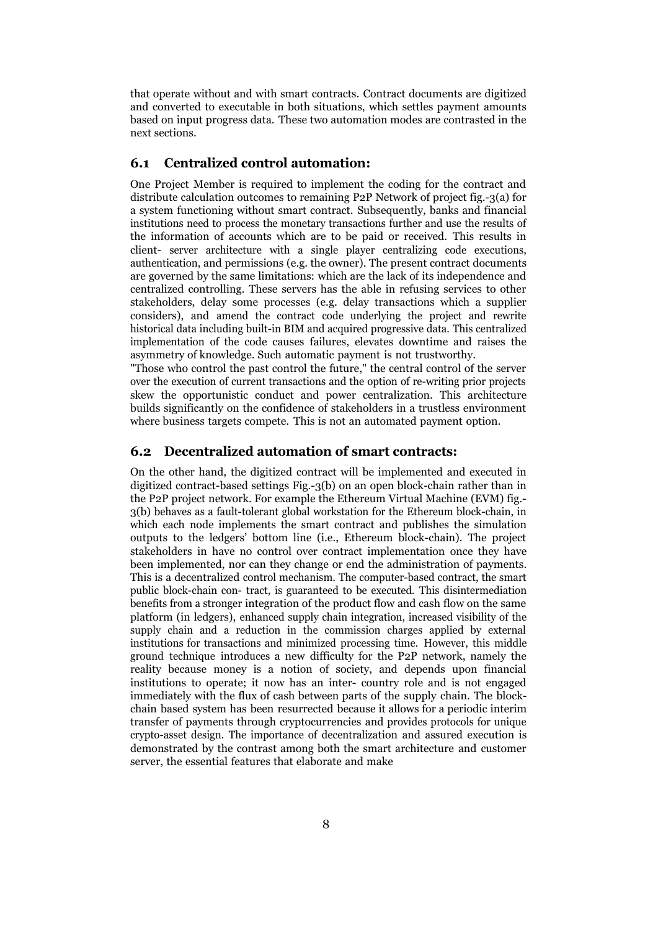that operate without and with smart contracts. Contract documents are digitized and converted to executable in both situations, which settles payment amounts based on input progress data. These two automation modes are contrasted in the next sections.

#### **6.1 Centralized control automation:**

One Project Member is required to implement the coding for the contract and distribute calculation outcomes to remaining P2P Network of project fig.-3(a) for a system functioning without smart contract. Subsequently, banks and financial institutions need to process the monetary transactions further and use the results of the information of accounts which are to be paid or received. This results in client- server architecture with a single player centralizing code executions, authentication, and permissions (e.g. the owner). The present contract documents are governed by the same limitations: which are the lack of its independence and centralized controlling. These servers has the able in refusing services to other stakeholders, delay some processes (e.g. delay transactions which a supplier considers), and amend the contract code underlying the project and rewrite historical data including built-in BIM and acquired progressive data. This centralized implementation of the code causes failures, elevates downtime and raises the asymmetry of knowledge. Such automatic payment is not trustworthy.

"Those who control the past control the future," the central control of the server over the execution of current transactions and the option of re-writing prior projects skew the opportunistic conduct and power centralization. This architecture builds significantly on the confidence of stakeholders in a trustless environment where business targets compete. This is not an automated payment option.

#### **6.2 Decentralized automation of smart contracts:**

On the other hand, the digitized contract will be implemented and executed in digitized contract-based settings Fig.-3(b) on an open block-chain rather than in the P2P project network. For example the Ethereum Virtual Machine (EVM) fig.- 3(b) behaves as a fault-tolerant global workstation for the Ethereum block-chain, in which each node implements the smart contract and publishes the simulation outputs to the ledgers' bottom line (i.e., Ethereum block-chain). The project stakeholders in have no control over contract implementation once they have been implemented, nor can they change or end the administration of payments. This is a decentralized control mechanism. The computer-based contract, the smart public block-chain con- tract, is guaranteed to be executed. This disintermediation benefits from a stronger integration of the product flow and cash flow on the same platform (in ledgers), enhanced supply chain integration, increased visibility of the supply chain and a reduction in the commission charges applied by external institutions for transactions and minimized processing time. However, this middle ground technique introduces a new difficulty for the P2P network, namely the reality because money is a notion of society, and depends upon financial institutions to operate; it now has an inter- country role and is not engaged immediately with the flux of cash between parts of the supply chain. The blockchain based system has been resurrected because it allows for a periodic interim transfer of payments through cryptocurrencies and provides protocols for unique crypto-asset design. The importance of decentralization and assured execution is demonstrated by the contrast among both the smart architecture and customer server, the essential features that elaborate and make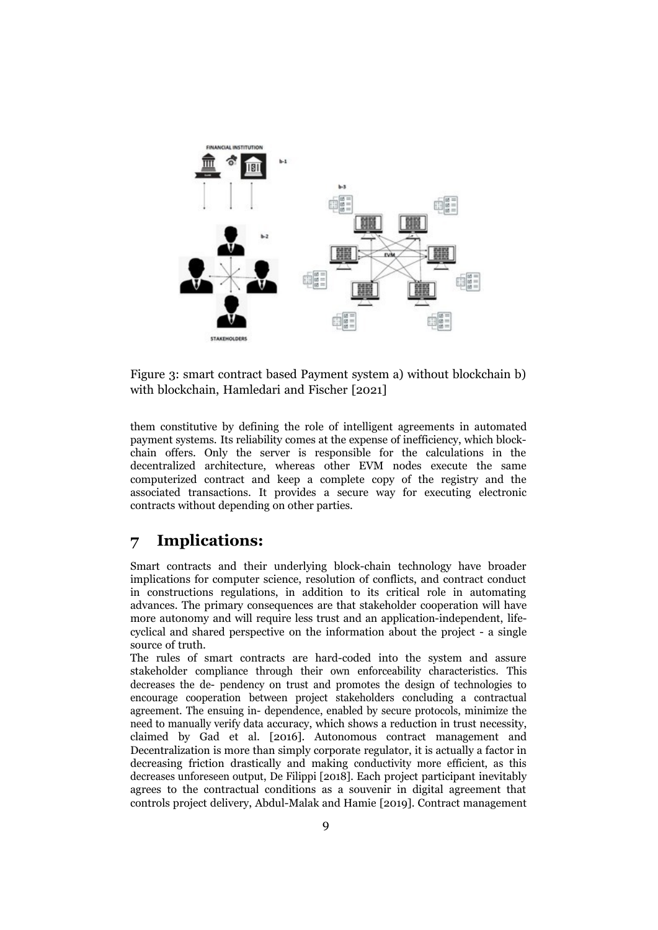

Figure 3: smart contract based Payment system a) without blockchain b) with blockchain, Hamledari and Fischer [2021]

them constitutive by defining the role of intelligent agreements in automated payment systems. Its reliability comes at the expense of inefficiency, which blockchain offers. Only the server is responsible for the calculations in the decentralized architecture, whereas other EVM nodes execute the same computerized contract and keep a complete copy of the registry and the associated transactions. It provides a secure way for executing electronic contracts without depending on other parties.

## **7 Implications:**

Smart contracts and their underlying block-chain technology have broader implications for computer science, resolution of conflicts, and contract conduct in constructions regulations, in addition to its critical role in automating advances. The primary consequences are that stakeholder cooperation will have more autonomy and will require less trust and an application-independent, lifecyclical and shared perspective on the information about the project - a single source of truth.

The rules of smart contracts are hard-coded into the system and assure stakeholder compliance through their own enforceability characteristics. This decreases the de- pendency on trust and promotes the design of technologies to encourage cooperation between project stakeholders concluding a contractual agreement. The ensuing in- dependence, enabled by secure protocols, minimize the need to manually verify data accuracy, which shows a reduction in trust necessity, claimed by Gad et al. [2016]. Autonomous contract management and Decentralization is more than simply corporate regulator, it is actually a factor in decreasing friction drastically and making conductivity more efficient, as this decreases unforeseen output, De Filippi [2018]. Each project participant inevitably agrees to the contractual conditions as a souvenir in digital agreement that controls project delivery, Abdul-Malak and Hamie [2019]. Contract management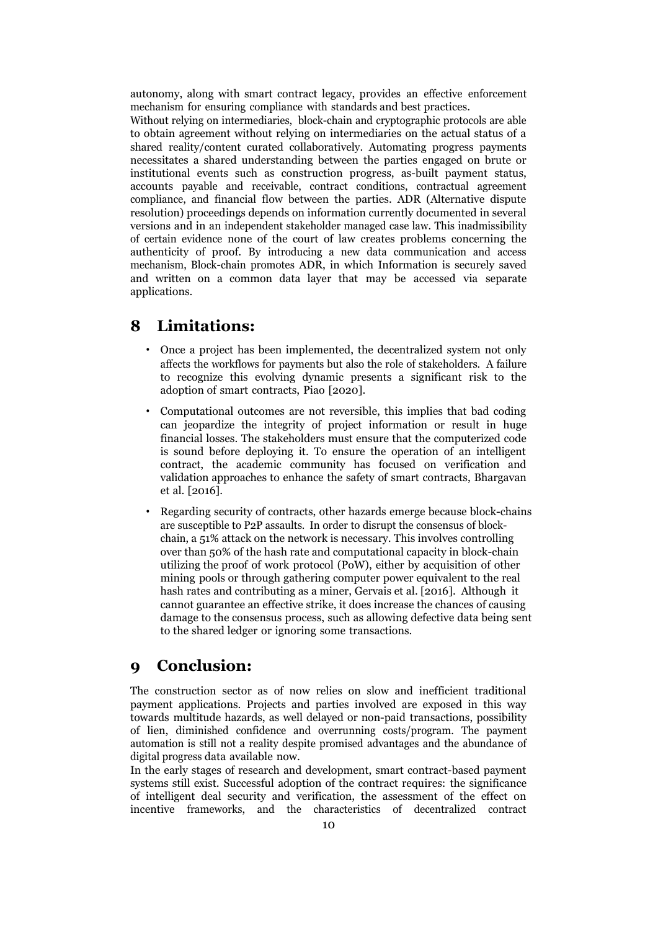autonomy, along with smart contract legacy, provides an effective enforcement mechanism for ensuring compliance with standards and best practices.

Without relying on intermediaries, block-chain and cryptographic protocols are able to obtain agreement without relying on intermediaries on the actual status of a shared reality/content curated collaboratively. Automating progress payments necessitates a shared understanding between the parties engaged on brute or institutional events such as construction progress, as-built payment status, accounts payable and receivable, contract conditions, contractual agreement compliance, and financial flow between the parties. ADR (Alternative dispute resolution) proceedings depends on information currently documented in several versions and in an independent stakeholder managed case law. This inadmissibility of certain evidence none of the court of law creates problems concerning the authenticity of proof. By introducing a new data communication and access mechanism, Block-chain promotes ADR, in which Information is securely saved and written on a common data layer that may be accessed via separate applications.

### **8 Limitations:**

- Once a project has been implemented, the decentralized system not only affects the workflows for payments but also the role of stakeholders. A failure to recognize this evolving dynamic presents a significant risk to the adoption of smart contracts, Piao [2020].
- Computational outcomes are not reversible, this implies that bad coding can jeopardize the integrity of project information or result in huge financial losses. The stakeholders must ensure that the computerized code is sound before deploying it. To ensure the operation of an intelligent contract, the academic community has focused on verification and validation approaches to enhance the safety of smart contracts, Bhargavan et al. [2016].
- Regarding security of contracts, other hazards emerge because block-chains are susceptible to P2P assaults. In order to disrupt the consensus of blockchain, a 51% attack on the network is necessary. This involves controlling over than 50% of the hash rate and computational capacity in block-chain utilizing the proof of work protocol (PoW), either by acquisition of other mining pools or through gathering computer power equivalent to the real hash rates and contributing as a miner, Gervais et al. [2016]. Although it cannot guarantee an effective strike, it does increase the chances of causing damage to the consensus process, such as allowing defective data being sent to the shared ledger or ignoring some transactions.

### **9 Conclusion:**

The construction sector as of now relies on slow and inefficient traditional payment applications. Projects and parties involved are exposed in this way towards multitude hazards, as well delayed or non-paid transactions, possibility of lien, diminished confidence and overrunning costs/program. The payment automation is still not a reality despite promised advantages and the abundance of digital progress data available now.

In the early stages of research and development, smart contract-based payment systems still exist. Successful adoption of the contract requires: the significance of intelligent deal security and verification, the assessment of the effect on incentive frameworks, and the characteristics of decentralized contract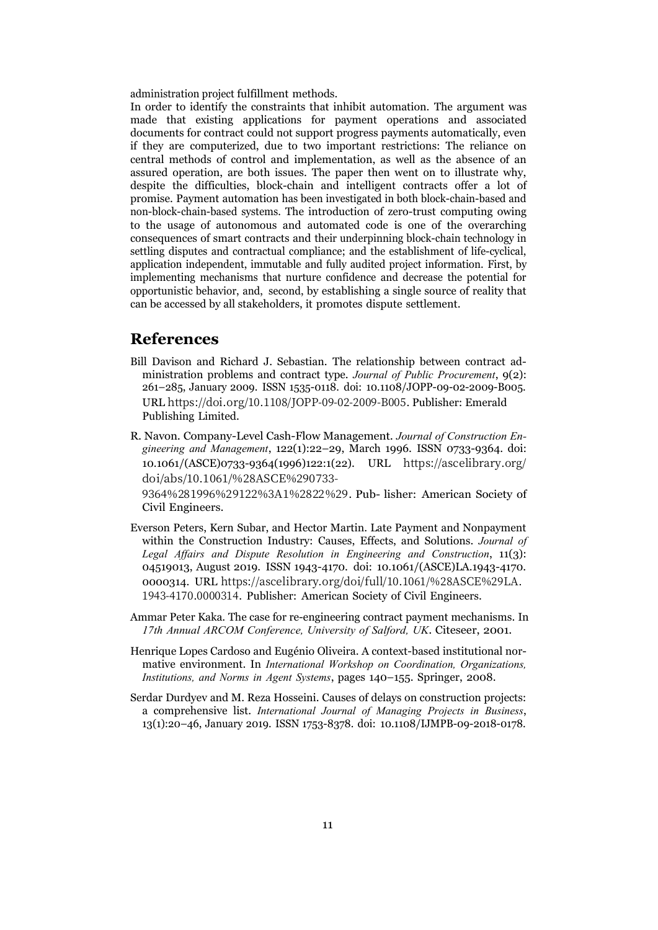administration project fulfillment methods.

In order to identify the constraints that inhibit automation. The argument was made that existing applications for payment operations and associated documents for contract could not support progress payments automatically, even if they are computerized, due to two important restrictions: The reliance on central methods of control and implementation, as well as the absence of an assured operation, are both issues. The paper then went on to illustrate why, despite the difficulties, block-chain and intelligent contracts offer a lot of promise. Payment automation has been investigated in both block-chain-based and non-block-chain-based systems. The introduction of zero-trust computing owing to the usage of autonomous and automated code is one of the overarching consequences of smart contracts and their underpinning block-chain technology in settling disputes and contractual compliance; and the establishment of life-cyclical, application independent, immutable and fully audited project information. First, by implementing mechanisms that nurture confidence and decrease the potential for opportunistic behavior, and, second, by establishing a single source of reality that can be accessed by all stakeholders, it promotes dispute settlement.

#### **References**

- Bill Davison and Richard J. Sebastian. The relationship between contract administration problems and contract type. *Journal of Public Procurement*, 9(2): 261–285, January 2009. ISSN 1535-0118. doi: 10.1108/JOPP-09-02-2009-B005. URL https://doi.org/10.1108/JOPP-09-02-2009-B005. Publisher: Emerald Publishing Limited.
- R. Navon. Company-Level Cash-Flow Management. *Journal of Construction Engineering and Management*, 122(1):22–29, March 1996. ISSN 0733-9364. doi: 10.1061/(ASCE)0733-9364(1996)122:1(22). URL https://ascelibrary.org/ doi/abs/10.1061/%28ASCE%290733-

9364%281996%29122%3A1%2822%29. Pub- lisher: American Society of Civil Engineers.

- Everson Peters, Kern Subar, and Hector Martin. Late Payment and Nonpayment within the Construction Industry: Causes, Effects, and Solutions. *Journal of Legal Affairs and Dispute Resolution in Engineering and Construction*, 11(3): 04519013, August 2019. ISSN 1943-4170. doi: 10.1061/(ASCE)LA.1943-4170. 0000314. URL https://ascelibrary.org/doi/full/10.1061/%28ASCE%29LA. 1943-4170.0000314. Publisher: American Society of Civil Engineers.
- Ammar Peter Kaka. The case for re-engineering contract payment mechanisms. In *17th Annual ARCOM Conference, University of Salford, UK*. Citeseer, 2001.
- Henrique Lopes Cardoso and Eugénio Oliveira. A context-based institutional normative environment. In *International Workshop on Coordination, Organizations, Institutions, and Norms in Agent Systems*, pages 140–155. Springer, 2008.
- Serdar Durdyev and M. Reza Hosseini. Causes of delays on construction projects: a comprehensive list. *International Journal of Managing Projects in Business*, 13(1):20–46, January 2019. ISSN 1753-8378. doi: 10.1108/IJMPB-09-2018-0178.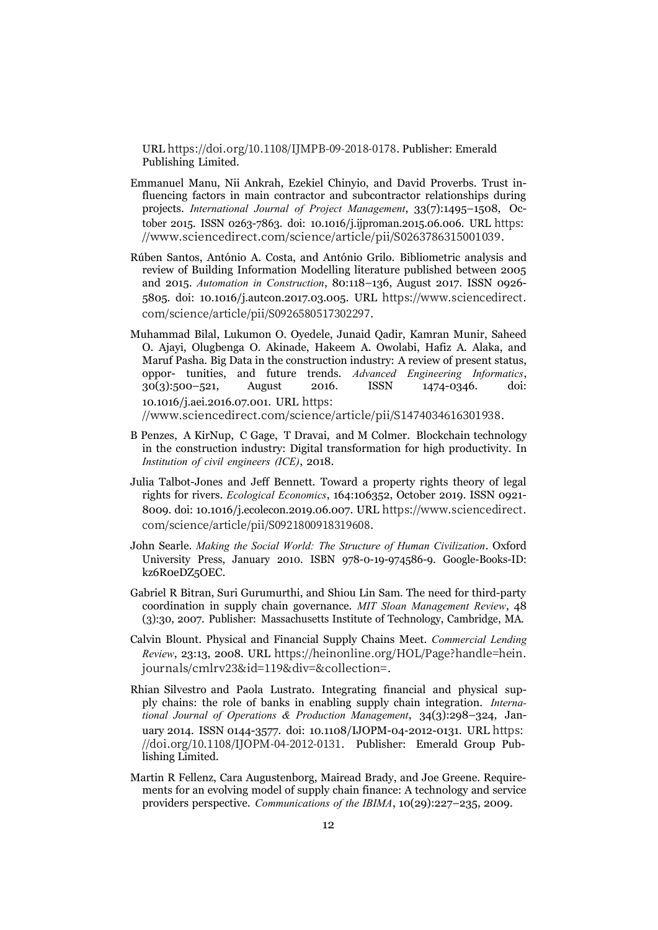URL https://doi.org/10.1108/IJMPB-09-2018-0178. Publisher: Emerald Publishing Limited.

- Emmanuel Manu, Nii Ankrah, Ezekiel Chinyio, and David Proverbs. Trust influencing factors in main contractor and subcontractor relationships during projects. *International Journal of Project Management*, 33(7):1495–1508, October 2015. ISSN 0263-7863. doi: 10.1016/j.ijproman.2015.06.006. URL https: //www.sciencedirect.com/science/article/pii/S0263786315001039.
- Rúben Santos, António A. Costa, and António Grilo. Bibliometric analysis and review of Building Information Modelling literature published between 2005 and 2015. *Automation in Construction*, 80:118–136, August 2017. ISSN 0926- 5805. doi: 10.1016/j.autcon.2017.03.005. URL https://www.sciencedirect. com/science/article/pii/S0926580517302297.
- Muhammad Bilal, Lukumon O. Oyedele, Junaid Qadir, Kamran Munir, Saheed O. Ajayi, Olugbenga O. Akinade, Hakeem A. Owolabi, Hafiz A. Alaka, and Maruf Pasha. Big Data in the construction industry: A review of present status, oppor- tunities, and future trends. *Advanced Engineering Informatics*, 30(3):500–521, August 2016. ISSN 1474-0346. doi: 10.1016/j.aei.2016.07.001. URL https: //www.sciencedirect.com/science/article/pii/S1474034616301938.
- B Penzes, A KirNup, C Gage, T Dravai, and M Colmer. Blockchain technology in the construction industry: Digital transformation for high productivity. In *Institution of civil engineers (ICE)*, 2018.
- Julia Talbot-Jones and Jeff Bennett. Toward a property rights theory of legal rights for rivers. *Ecological Economics*, 164:106352, October 2019. ISSN 0921- 8009. doi: 10.1016/j.ecolecon.2019.06.007. URL https://www.sciencedirect. com/science/article/pii/S0921800918319608.
- John Searle. *Making the Social World: The Structure of Human Civilization*. Oxford University Press, January 2010. ISBN 978-0-19-974586-9. Google-Books-ID: kz6R0eDZ5OEC.
- Gabriel R Bitran, Suri Gurumurthi, and Shiou Lin Sam. The need for third-party coordination in supply chain governance. *MIT Sloan Management Review*, 48 (3):30, 2007. Publisher: Massachusetts Institute of Technology, Cambridge, MA.
- Calvin Blount. Physical and Financial Supply Chains Meet. *Commercial Lending Review*, 23:13, 2008. URL https://heinonline.org/HOL/Page?handle=hein. journals/cmlrv23&id=119&div=&collection=.
- Rhian Silvestro and Paola Lustrato. Integrating financial and physical supply chains: the role of banks in enabling supply chain integration. *International Journal of Operations & Production Management*, 34(3):298–324, January 2014. ISSN 0144-3577. doi: 10.1108/IJOPM-04-2012-0131. URL https: //doi.org/10.1108/IJOPM-04-2012-0131. Publisher: Emerald Group Publishing Limited.
- Martin R Fellenz, Cara Augustenborg, Mairead Brady, and Joe Greene. Requirements for an evolving model of supply chain finance: A technology and service providers perspective. *Communications of the IBIMA*, 10(29):227–235, 2009.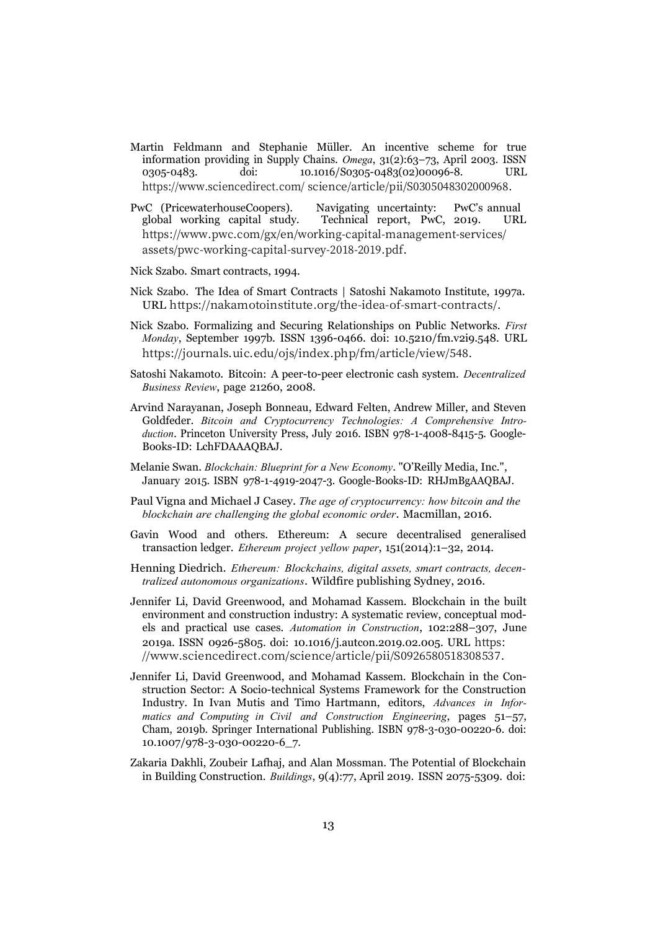- Martin Feldmann and Stephanie Müller. An incentive scheme for true information providing in Supply Chains. *Omega*, 31(2):63–73, April 2003. ISSN 0305-0483. doi: 10.1016/S0305-0483(02)00096-8. URL https://www.sciencedirect.com/ science/article/pii/S0305048302000968.
- PwC (PricewaterhouseCoopers). Navigating uncertainty: PwC's annual global working capital study. Technical report, PwC, 2019. URL https://www.pwc.com/gx/en/working-capital-management-services/ assets/pwc-working-capital-survey-2018-2019.pdf.
- Nick Szabo. Smart contracts, 1994.
- Nick Szabo. The Idea of Smart Contracts | Satoshi Nakamoto Institute, 1997a. URL https://nakamotoinstitute.org/the-idea-of-smart-contracts/.
- Nick Szabo. Formalizing and Securing Relationships on Public Networks. *First Monday*, September 1997b. ISSN 1396-0466. doi: 10.5210/fm.v2i9.548. URL https://journals.uic.edu/ojs/index.php/fm/article/view/548.
- Satoshi Nakamoto. Bitcoin: A peer-to-peer electronic cash system. *Decentralized Business Review*, page 21260, 2008.
- Arvind Narayanan, Joseph Bonneau, Edward Felten, Andrew Miller, and Steven Goldfeder. *Bitcoin and Cryptocurrency Technologies: A Comprehensive Introduction*. Princeton University Press, July 2016. ISBN 978-1-4008-8415-5. Google-Books-ID: LchFDAAAQBAJ.
- Melanie Swan. *Blockchain: Blueprint for a New Economy*. "O'Reilly Media, Inc.", January 2015. ISBN 978-1-4919-2047-3. Google-Books-ID: RHJmBgAAQBAJ.
- Paul Vigna and Michael J Casey. *The age of cryptocurrency: how bitcoin and the blockchain are challenging the global economic order*. Macmillan, 2016.
- Gavin Wood and others. Ethereum: A secure decentralised generalised transaction ledger. *Ethereum project yellow paper*, 151(2014):1–32, 2014.
- Henning Diedrich. *Ethereum: Blockchains, digital assets, smart contracts, decentralized autonomous organizations*. Wildfire publishing Sydney, 2016.
- Jennifer Li, David Greenwood, and Mohamad Kassem. Blockchain in the built environment and construction industry: A systematic review, conceptual models and practical use cases. *Automation in Construction*, 102:288–307, June 2019a. ISSN 0926-5805. doi: 10.1016/j.autcon.2019.02.005. URL https: //www.sciencedirect.com/science/article/pii/S0926580518308537.
- Jennifer Li, David Greenwood, and Mohamad Kassem. Blockchain in the Construction Sector: A Socio-technical Systems Framework for the Construction Industry. In Ivan Mutis and Timo Hartmann, editors, *Advances in Informatics and Computing in Civil and Construction Engineering*, pages 51–57, Cham, 2019b. Springer International Publishing. ISBN 978-3-030-00220-6. doi: 10.1007/978-3-030-00220-6\_7.
- Zakaria Dakhli, Zoubeir Lafhaj, and Alan Mossman. The Potential of Blockchain in Building Construction. *Buildings*, 9(4):77, April 2019. ISSN 2075-5309. doi: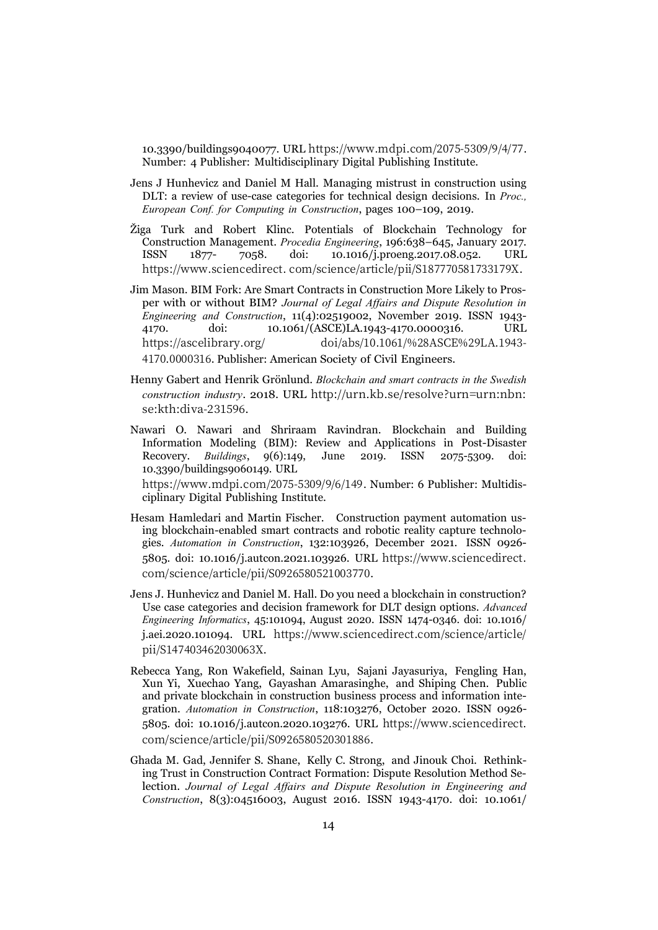10.3390/buildings9040077. URL https://www.mdpi.com/2075-5309/9/4/77. Number: 4 Publisher: Multidisciplinary Digital Publishing Institute.

- Jens J Hunhevicz and Daniel M Hall. Managing mistrust in construction using DLT: a review of use-case categories for technical design decisions. In *Proc., European Conf. for Computing in Construction*, pages 100–109, 2019.
- Žiga Turk and Robert Klinc. Potentials of Blockchain Technology for Construction Management. *Procedia Engineering*, 196:638–645, January 2017. ISSN 1877- 7058. doi: 10.1016/j.proeng.2017.08.052. URL https://www.sciencedirect. com/science/article/pii/S187770581733179X.
- Jim Mason. BIM Fork: Are Smart Contracts in Construction More Likely to Prosper with or without BIM? *Journal of Legal Affairs and Dispute Resolution in Engineering and Construction*, 11(4):02519002, November 2019. ISSN 1943- 4170. doi: 10.1061/(ASCE)LA.1943-4170.0000316. URL https://ascelibrary.org/ doi/abs/10.1061/%28ASCE%29LA.1943- 4170.0000316. Publisher: American Society of Civil Engineers.
- Henny Gabert and Henrik Grönlund. *Blockchain and smart contracts in the Swedish construction industry*. 2018. URL http://urn.kb.se/resolve?urn=urn:nbn: se:kth:diva-231596.
- Nawari O. Nawari and Shriraam Ravindran. Blockchain and Building Information Modeling (BIM): Review and Applications in Post-Disaster Recovery. *Buildings*, 9(6):149, June 2019. ISSN 2075-5309. doi: 10.3390/buildings9060149. URL

https://www.mdpi.com/2075-5309/9/6/149. Number: 6 Publisher: Multidisciplinary Digital Publishing Institute.

- Hesam Hamledari and Martin Fischer. Construction payment automation using blockchain-enabled smart contracts and robotic reality capture technologies. *Automation in Construction*, 132:103926, December 2021. ISSN 0926- 5805. doi: 10.1016/j.autcon.2021.103926. URL https://www.sciencedirect. com/science/article/pii/S0926580521003770.
- Jens J. Hunhevicz and Daniel M. Hall. Do you need a blockchain in construction? Use case categories and decision framework for DLT design options. *Advanced Engineering Informatics*, 45:101094, August 2020. ISSN 1474-0346. doi: 10.1016/ j.aei.2020.101094. URL https://www.sciencedirect.com/science/article/ pii/S147403462030063X.
- Rebecca Yang, Ron Wakefield, Sainan Lyu, Sajani Jayasuriya, Fengling Han, Xun Yi, Xuechao Yang, Gayashan Amarasinghe, and Shiping Chen. Public and private blockchain in construction business process and information integration. *Automation in Construction*, 118:103276, October 2020. ISSN 0926- 5805. doi: 10.1016/j.autcon.2020.103276. URL https://www.sciencedirect. com/science/article/pii/S0926580520301886.
- Ghada M. Gad, Jennifer S. Shane, Kelly C. Strong, and Jinouk Choi. Rethinking Trust in Construction Contract Formation: Dispute Resolution Method Selection. *Journal of Legal Affairs and Dispute Resolution in Engineering and Construction*, 8(3):04516003, August 2016. ISSN 1943-4170. doi: 10.1061/